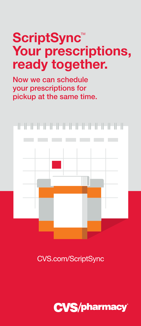### **ScriptSync™ Your prescriptions, ready together.**

Now we can schedule your prescriptions for pickup at the same time.



CVS.com/ScriptSync

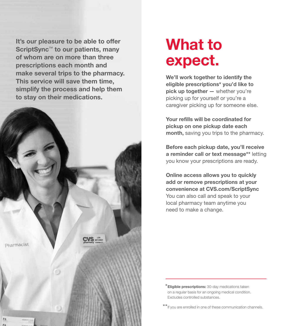It's our pleasure to be able to offer ScriptSync<sup>™</sup> to our patients, many of whom are on more than three prescriptions each month and make several trips to the pharmacy. This service will save them time, simplify the process and help them to stay on their medications.



### **What to expect.**

**We'll work together to identify the eligible prescriptions\* you'd like to pick up together —** whether you're picking up for yourself or you're a caregiver picking up for someone else.

**Your refills will be coordinated for pickup on one pickup date each month,** saving you trips to the pharmacy.

**Before each pickup date, you'll receive a reminder call or text message\*\*** letting you know your prescriptions are ready.

**Online access allows you to quickly add or remove prescriptions at your convenience at CVS.com/ScriptSync**  You can also call and speak to your local pharmacy team anytime you need to make a change.

\***Eligible prescriptions:** 30-day medications taken on a regular basis for an ongoing medical condition. Excludes controlled substances.

\*\*If you are enrolled in one of these communication channels.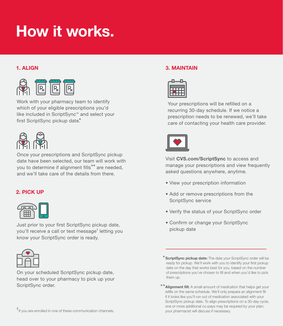# **How it works.**



Work with your pharmacy team to identify which of your eligible prescriptions you'd like included in ScriptSync™ and select your first ScriptSync pickup date.\*



Once your prescriptions and ScriptSync pickup date have been selected, our team will work with you to determine if alignment fills\*\* are needed, and we'll take care of the details from there.

#### **2. Pick up**



Just prior to your first ScriptSync pickup date, you'll receive a call or text message† letting you know your ScriptSync order is ready.



On your scheduled ScriptSync pickup date, head over to your pharmacy to pick up your ScriptSync order.

#### **1. Align 3. Maintain**



Your prescriptions will be refilled on a recurring 30-day schedule. If we notice a prescription needs to be renewed, we'll take care of contacting your health care provider.



Visit **CVS.com/ScriptSync** to access and manage your prescriptions and view frequently asked questions anywhere, anytime.

- View your prescription information
- Add or remove prescriptions from the ScriptSync service
- Verify the status of your ScriptSync order
- Confirm or change your ScriptSync pickup date

<sup>\*</sup> **ScriptSync pickup date:** The date your ScriptSync order will be ready for pickup. We'll work with you to identify your first pickup date on the day that works best for you, based on the number of prescriptions you've chosen to fill and when you'd like to pick them up.

<sup>\*\*</sup>**Alignment fill:** A small amount of medication that helps get your refills on the same schedule. We'll only prepare an alignment fill if it looks like you'll run out of medication associated with your ScriptSync pickup date. To align prescriptions on a 30-day cycle, one or more additional co-pays may be required by your plan;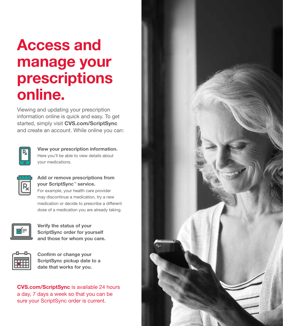# **Access and manage your prescriptions online.**

Viewing and updating your prescription information online is quick and easy. To get started, simply visit **CVS.com/ScriptSync** and create an account. While online you can:



**View your prescription information.**  Here you'll be able to view details about your medications.

#### **Add or remove prescriptions from your ScriptSync™ service.**

For example, your health care provider may discontinue a medication, try a new medication or decide to prescribe a different dose of a medication you are already taking.



**Verify the status of your ScriptSync order for yourself and those for whom you care.**



**Confirm or change your ScriptSync pickup date to a date that works for you.**

**CVS.com/ScriptSync** is available 24 hours a day, 7 days a week so that you can be sure your ScriptSync order is current.

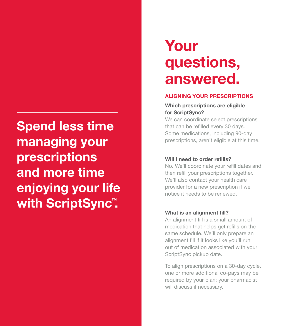**Spend less time managing your prescriptions and more time enjoying your life with ScriptSync™ .**

## **Your questions, answered.**

#### **ALIGNING YOUR PRESCRIPTIONS**

#### **Which prescriptions are eligible for ScriptSync?**

We can coordinate select prescriptions that can be refilled every 30 days. Some medications, including 90-day prescriptions, aren't eligible at this time.

#### **Will I need to order refills?**

No. We'll coordinate your refill dates and then refill your prescriptions together. We'll also contact your health care provider for a new prescription if we notice it needs to be renewed.

#### **What is an alignment fill?**

An alignment fill is a small amount of medication that helps get refills on the same schedule. We'll only prepare an alignment fill if it looks like you'll run out of medication associated with your ScriptSync pickup date.

To align prescriptions on a 30-day cycle, one or more additional co-pays may be required by your plan; your pharmacist will discuss if necessary.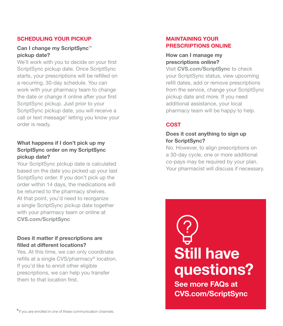#### **SCHEDULING YOUR PICKUP**

#### Can I change my ScriptSync<sup>™</sup> **pickup date?**

We'll work with you to decide on your first ScriptSync pickup date. Once ScriptSync starts, your prescriptions will be refilled on a recurring, 30-day schedule. You can work with your pharmacy team to change the date or change it online after your first ScriptSync pickup. Just prior to your ScriptSync pickup date, you will receive a call or text message\* letting you know your order is ready.

#### **What happens if I don't pick up my ScriptSync order on my ScriptSync pickup date?**

Your ScriptSync pickup date is calculated based on the date you picked up your last ScriptSync order. If you don't pick up the order within 14 days, the medications will be returned to the pharmacy shelves. At that point, you'd need to reorganize a single ScriptSync pickup date together with your pharmacy team or online at **CVS.com/ScriptSync**

#### **Does it matter if prescriptions are filled at different locations?**

Yes. At this time, we can only coordinate refills at a single CVS/pharmacy® location. If you'd like to enroll other eligible prescriptions, we can help you transfer them to that location first.

#### **MAINTAINING YOUR PRESCRIPTIONS ONLINE**

#### **How can I manage my prescriptions online?**

Visit **CVS.com/ScriptSync** to check your ScriptSync status, view upcoming refill dates, add or remove prescriptions from the service, change your ScriptSync pickup date and more. If you need additional assistance, your local pharmacy team will be happy to help.

### **COST**

#### **Does it cost anything to sign up for ScriptSync?**

No. However, to align prescriptions on a 30-day cycle, one or more additional co-pays may be required by your plan. Your pharmacist will discuss if necessary.



See more FAQs at CVS.com/ScriptSync